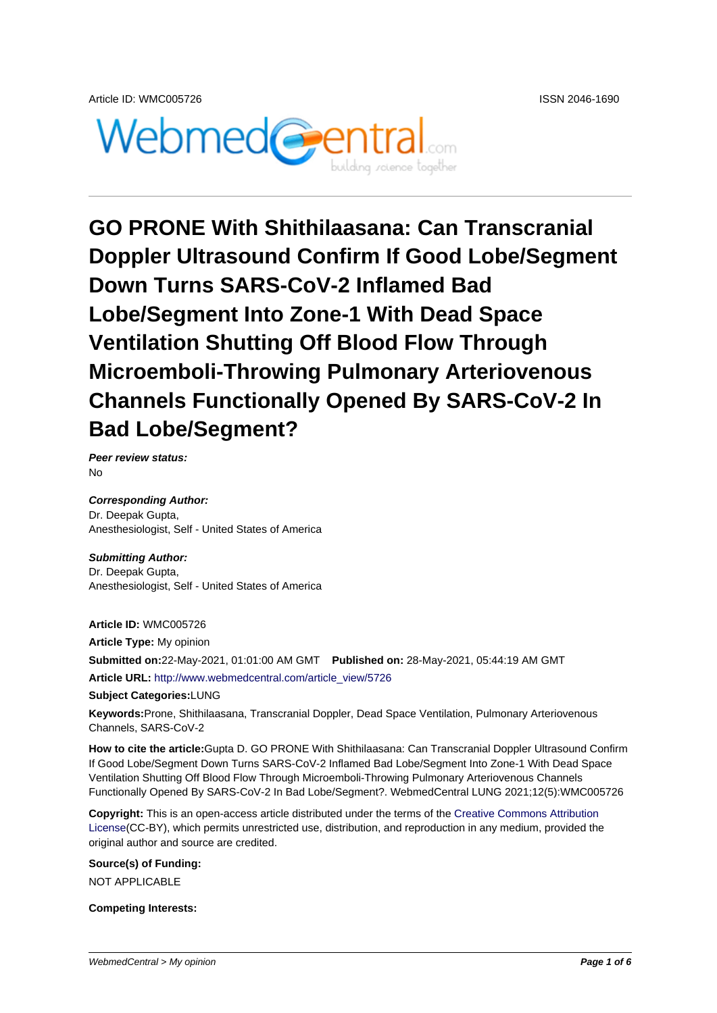

# **GO PRONE With Shithilaasana: Can Transcranial Doppler Ultrasound Confirm If Good Lobe/Segment Down Turns SARS-CoV-2 Inflamed Bad Lobe/Segment Into Zone-1 With Dead Space Ventilation Shutting Off Blood Flow Through Microemboli-Throwing Pulmonary Arteriovenous Channels Functionally Opened By SARS-CoV-2 In Bad Lobe/Segment?**

**Peer review status:**  $N<sub>0</sub>$ 

**Corresponding Author:** Dr. Deepak Gupta, Anesthesiologist, Self - United States of America

**Submitting Author:** Dr. Deepak Gupta, Anesthesiologist, Self - United States of America

**Article ID:** WMC005726

**Article Type:** My opinion **Submitted on:**22-May-2021, 01:01:00 AM GMT **Published on:** 28-May-2021, 05:44:19 AM GMT **Article URL:** http://www.webmedcentral.com/article\_view/5726

**Subject Categories:**LUNG

**Keywords:**Prone, Shithilaasana, Transcranial Doppler, Dead Space Ventilation, Pulmonary Arteriovenous Channels, S[ARS-CoV-2](http://www.webmedcentral.com/article_view/5726)

**How to cite the article:**Gupta D. GO PRONE With Shithilaasana: Can Transcranial Doppler Ultrasound Confirm If Good Lobe/Segment Down Turns SARS-CoV-2 Inflamed Bad Lobe/Segment Into Zone-1 With Dead Space Ventilation Shutting Off Blood Flow Through Microemboli-Throwing Pulmonary Arteriovenous Channels Functionally Opened By SARS-CoV-2 In Bad Lobe/Segment?. WebmedCentral LUNG 2021;12(5):WMC005726

**Copyright:** This is an open-access article distributed under the terms of the Creative Commons Attribution License(CC-BY), which permits unrestricted use, distribution, and reproduction in any medium, provided the original author and source are credited.

**Source(s) of Funding:** [NOT AP](http://creativecommons.org/licenses/by/3.0/)PLICABLE

**Competing Interests:**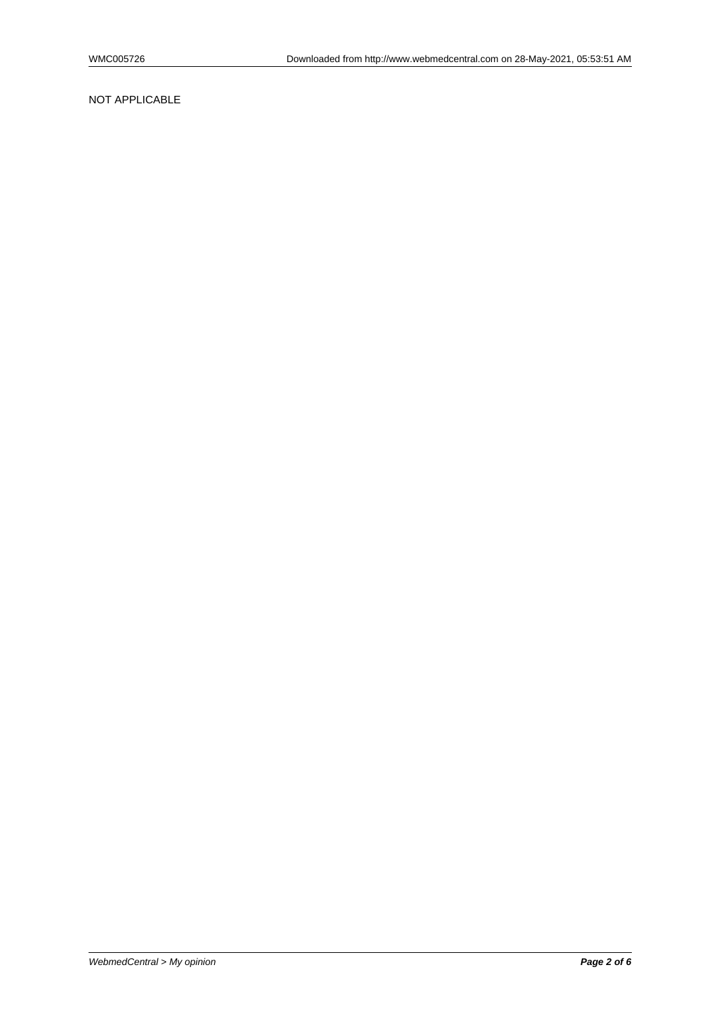#### NOT APPLICABLE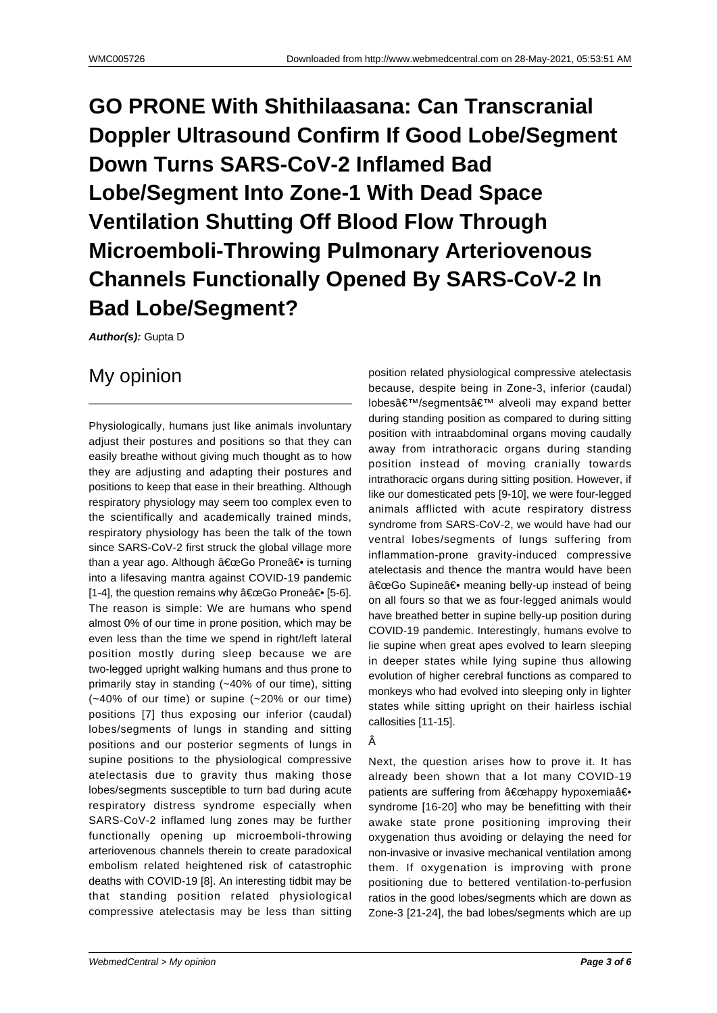# **GO PRONE With Shithilaasana: Can Transcranial Doppler Ultrasound Confirm If Good Lobe/Segment Down Turns SARS-CoV-2 Inflamed Bad Lobe/Segment Into Zone-1 With Dead Space Ventilation Shutting Off Blood Flow Through Microemboli-Throwing Pulmonary Arteriovenous Channels Functionally Opened By SARS-CoV-2 In Bad Lobe/Segment?**

**Author(s):** Gupta D

### My opinion

Physiologically, humans just like animals involuntary adjust their postures and positions so that they can easily breathe without giving much thought as to how they are adjusting and adapting their postures and positions to keep that ease in their breathing. Although respiratory physiology may seem too complex even to the scientifically and academically trained minds, respiratory physiology has been the talk of the town since SARS-CoV-2 first struck the global village more than a year ago. Although "Go Prone― is turning into a lifesaving mantra against COVID-19 pandemic [1-4], the question remains why  $\hat{a} \in \text{ceGo}$  Prone $\hat{a} \in \{5\}$ . The reason is simple: We are humans who spend almost 0% of our time in prone position, which may be even less than the time we spend in right/left lateral position mostly during sleep because we are two-legged upright walking humans and thus prone to primarily stay in standing (~40% of our time), sitting (~40% of our time) or supine (~20% or our time) positions [7] thus exposing our inferior (caudal) lobes/segments of lungs in standing and sitting positions and our posterior segments of lungs in supine positions to the physiological compressive atelectasis due to gravity thus making those lobes/segments susceptible to turn bad during acute respiratory distress syndrome especially when SARS-CoV-2 inflamed lung zones may be further functionally opening up microemboli-throwing arteriovenous channels therein to create paradoxical embolism related heightened risk of catastrophic deaths with COVID-19 [8]. An interesting tidbit may be that standing position related physiological compressive atelectasis may be less than sitting

position related physiological compressive atelectasis because, despite being in Zone-3, inferior (caudal) lobes'/segments' alveoli may expand better during standing position as compared to during sitting position with intraabdominal organs moving caudally away from intrathoracic organs during standing position instead of moving cranially towards intrathoracic organs during sitting position. However, if like our domesticated pets [9-10], we were four-legged animals afflicted with acute respiratory distress syndrome from SARS-CoV-2, we would have had our ventral lobes/segments of lungs suffering from inflammation-prone gravity-induced compressive atelectasis and thence the mantra would have been "Go Supine― meaning belly-up instead of being on all fours so that we as four-legged animals would have breathed better in supine belly-up position during COVID-19 pandemic. Interestingly, humans evolve to lie supine when great apes evolved to learn sleeping in deeper states while lying supine thus allowing evolution of higher cerebral functions as compared to monkeys who had evolved into sleeping only in lighter states while sitting upright on their hairless ischial callosities [11-15].

#### Â

Next, the question arises how to prove it. It has already been shown that a lot many COVID-19 patients are suffering from "happy hypoxemiaâ€. syndrome [16-20] who may be benefitting with their awake state prone positioning improving their oxygenation thus avoiding or delaying the need for non-invasive or invasive mechanical ventilation among them. If oxygenation is improving with prone positioning due to bettered ventilation-to-perfusion ratios in the good lobes/segments which are down as Zone-3 [21-24], the bad lobes/segments which are up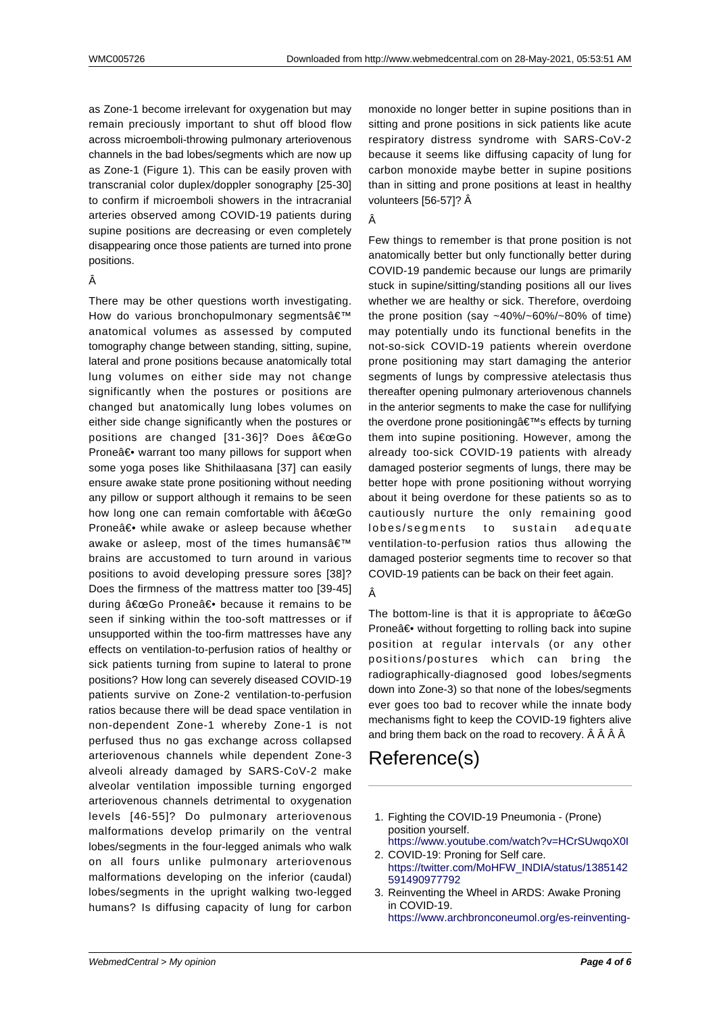as Zone-1 become irrelevant for oxygenation but may remain preciously important to shut off blood flow across microemboli-throwing pulmonary arteriovenous channels in the bad lobes/segments which are now up as Zone-1 (Figure 1). This can be easily proven with transcranial color duplex/doppler sonography [25-30] to confirm if microemboli showers in the intracranial arteries observed among COVID-19 patients during supine positions are decreasing or even completely disappearing once those patients are turned into prone positions.

#### Â

There may be other questions worth investigating. How do various bronchopulmonary segments' anatomical volumes as assessed by computed tomography change between standing, sitting, supine, lateral and prone positions because anatomically total lung volumes on either side may not change significantly when the postures or positions are changed but anatomically lung lobes volumes on either side change significantly when the postures or positions are changed [31-36]? Does "Go Prone― warrant too many pillows for support when some yoga poses like Shithilaasana [37] can easily ensure awake state prone positioning without needing any pillow or support although it remains to be seen how long one can remain comfortable with  $a \in \text{ceGo}$ Prone― while awake or asleep because whether awake or asleep, most of the times humans' brains are accustomed to turn around in various positions to avoid developing pressure sores [38]? Does the firmness of the mattress matter too [39-45] during  $â€ceGo$  Prone― because it remains to be seen if sinking within the too-soft mattresses or if unsupported within the too-firm mattresses have any effects on ventilation-to-perfusion ratios of healthy or sick patients turning from supine to lateral to prone positions? How long can severely diseased COVID-19 patients survive on Zone-2 ventilation-to-perfusion ratios because there will be dead space ventilation in non-dependent Zone-1 whereby Zone-1 is not perfused thus no gas exchange across collapsed arteriovenous channels while dependent Zone-3 alveoli already damaged by SARS-CoV-2 make alveolar ventilation impossible turning engorged arteriovenous channels detrimental to oxygenation levels [46-55]? Do pulmonary arteriovenous malformations develop primarily on the ventral lobes/segments in the four-legged animals who walk on all fours unlike pulmonary arteriovenous malformations developing on the inferior (caudal) lobes/segments in the upright walking two-legged humans? Is diffusing capacity of lung for carbon

monoxide no longer better in supine positions than in sitting and prone positions in sick patients like acute respiratory distress syndrome with SARS-CoV-2 because it seems like diffusing capacity of lung for carbon monoxide maybe better in supine positions than in sitting and prone positions at least in healthy volunteers [56-57]? Â

#### Â

Few things to remember is that prone position is not anatomically better but only functionally better during COVID-19 pandemic because our lungs are primarily stuck in supine/sitting/standing positions all our lives whether we are healthy or sick. Therefore, overdoing the prone position (say  $~10\%$ / $~10\%$ / $~10\%$ / $~10\%$  of time) may potentially undo its functional benefits in the not-so-sick COVID-19 patients wherein overdone prone positioning may start damaging the anterior segments of lungs by compressive atelectasis thus thereafter opening pulmonary arteriovenous channels in the anterior segments to make the case for nullifying the overdone prone positioning  $\hat{\mathbf{z}} \in \mathbb{M}$ s effects by turning them into supine positioning. However, among the already too-sick COVID-19 patients with already damaged posterior segments of lungs, there may be better hope with prone positioning without worrying about it being overdone for these patients so as to cautiously nurture the only remaining good lobes/segments to sustain adequate ventilation-to-perfusion ratios thus allowing the damaged posterior segments time to recover so that COVID-19 patients can be back on their feet again.

#### Â

The bottom-line is that it is appropriate to  $a \in \alpha$ Go Prone― without forgetting to rolling back into supine position at regular intervals (or any other positions/postures which can bring the radiographically-diagnosed good lobes/segments down into Zone-3) so that none of the lobes/segments ever goes too bad to recover while the innate body mechanisms fight to keep the COVID-19 fighters alive and bring them back on the road to recovery. Â Â Â Â

### Reference(s)

- 1. Fighting the COVID-19 Pneumonia (Prone) position yourself. https://www.youtube.com/watch?v=HCrSUwqoX0I
- 2. COVID-19: Proning for Self care. https://twitter.com/MoHFW\_INDIA/status/1385142 591490977792
- 3. [Reinventing the Wheel in ARDS: Awake Proning](https://www.youtube.com/watch?v=HCrSUwqoX0I) in COVID-19. [https://www.archbronconeumol.org/es-reinventing-](https://twitter.com/MoHFW_INDIA/status/1385142591490977792)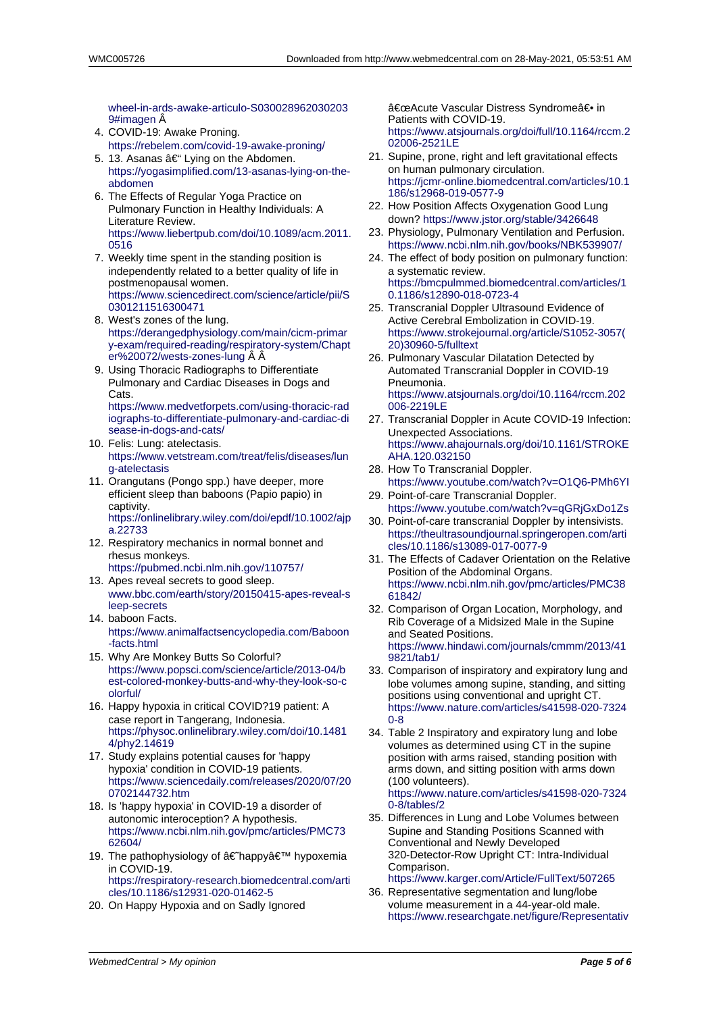wheel-in-ards-awake-articulo-S030028962030203 9#imagen Â

- 4. COVID-19: Awake Proning. https://rebelem.com/covid-19-awake-proning/
- 5. 13. Asanas  $\hat{a} \in \mathcal{C}^*$  Lying on the Abdomen. [https://yogasimplified.com/13-asanas-lying-on-the](https://www.archbronconeumol.org/es-reinventing-wheel-in-ards-awake-articulo-S0300289620302039#imagen)[abdomen](https://www.archbronconeumol.org/es-reinventing-wheel-in-ards-awake-articulo-S0300289620302039#imagen)
- 6. The Effects of Regular Yoga Practice on [Pulmonary Function in Healthy Individuals: A](https://rebelem.com/covid-19-awake-proning/) Literature Review. [https://www.liebertpub.com/doi/10.1089/acm.2011.](https://yogasimplified.com/13-asanas-lying-on-the-abdomen) [0516](https://yogasimplified.com/13-asanas-lying-on-the-abdomen)
- 7. Weekly time spent in the standing position is independently related to a better quality of life in postmenopausal women. [https://www.sciencedirect.com/science/article/pii/S](https://www.liebertpub.com/doi/10.1089/acm.2011.0516) [03012](https://www.liebertpub.com/doi/10.1089/acm.2011.0516)11516300471
- 8. West's zones of the lung. https://derangedphysiology.com/main/cicm-primar y-exam/required-reading/respiratory-system/Chapt [er%20072/wests-zones-lung](https://www.sciencedirect.com/science/article/pii/S0301211516300471)
- 9. [Using Thoracic Radi](https://www.sciencedirect.com/science/article/pii/S0301211516300471)ographs to Differentiate [Pulmonary and Cardiac Diseases in Dogs and](https://derangedphysiology.com/main/cicm-primary-exam/required-reading/respiratory-system/Chapter%20072/wests-zones-lung) Cats.

[https://www.medvetforpets.com/using-thoracic-rad](https://derangedphysiology.com/main/cicm-primary-exam/required-reading/respiratory-system/Chapter%20072/wests-zones-lung) [iographs-to-differentiate-pulm](https://derangedphysiology.com/main/cicm-primary-exam/required-reading/respiratory-system/Chapter%20072/wests-zones-lung)onary-and-cardiac-di sease-in-dogs-and-cats/

- 10. Felis: Lung: atelectasis. https://www.vetstream.com/treat/felis/diseases/lun [g-atelectasis](https://www.medvetforpets.com/using-thoracic-radiographs-to-differentiate-pulmonary-and-cardiac-disease-in-dogs-and-cats/)
- 11. [Orangutans \(Pongo spp.\) have deeper, more](https://www.medvetforpets.com/using-thoracic-radiographs-to-differentiate-pulmonary-and-cardiac-disease-in-dogs-and-cats/) [efficient sleep than babo](https://www.medvetforpets.com/using-thoracic-radiographs-to-differentiate-pulmonary-and-cardiac-disease-in-dogs-and-cats/)ons (Papio papio) in captivity. [https://onlinelibrary.wiley.com/doi/epdf/10.1002/ajp](https://www.vetstream.com/treat/felis/diseases/lung-atelectasis) [a.22733](https://www.vetstream.com/treat/felis/diseases/lung-atelectasis)
- 12. Respiratory mechanics in normal bonnet and rhesus monkeys. https://pubmed.ncbi.nlm.nih.gov/110757/
- 13. [Apes reveal secrets to good sleep.](https://onlinelibrary.wiley.com/doi/epdf/10.1002/ajpa.22733) [www.bbc](https://onlinelibrary.wiley.com/doi/epdf/10.1002/ajpa.22733).com/earth/story/20150415-apes-reveal-s leep-secrets
- 14. baboon Facts. [https://www.animalfactsencyclopedia.com](https://pubmed.ncbi.nlm.nih.gov/110757/)/Baboon -facts.html
- 15. [Why Are Monkey Butts So Colorful?](http://www.bbc.com/earth/story/20150415-apes-reveal-sleep-secrets) [https://www.p](http://www.bbc.com/earth/story/20150415-apes-reveal-sleep-secrets)opsci.com/science/article/2013-04/b est-colored-monkey-butts-and-why-they-look-so-c [olorful/](https://www.animalfactsencyclopedia.com/Baboon-facts.html)
- 16. [Happy hyp](https://www.animalfactsencyclopedia.com/Baboon-facts.html)oxia in critical COVID?19 patient: A case report in Tangerang, Indonesia. [https://physoc.onlinelibrary.wiley.com/doi/10.1481](https://www.popsci.com/science/article/2013-04/best-colored-monkey-butts-and-why-they-look-so-colorful/) [4/phy2.14619](https://www.popsci.com/science/article/2013-04/best-colored-monkey-butts-and-why-they-look-so-colorful/)
- 17. [Study e](https://www.popsci.com/science/article/2013-04/best-colored-monkey-butts-and-why-they-look-so-colorful/)xplains potential causes for 'happy hypoxia' condition in COVID-19 patients. https://www.sciencedaily.com/releases/2020/07/20 [0702144732.htm](https://physoc.onlinelibrary.wiley.com/doi/10.14814/phy2.14619)
- 18. [Is 'happy hypo](https://physoc.onlinelibrary.wiley.com/doi/10.14814/phy2.14619)xia' in COVID-19 a disorder of autonomic interoception? A hypothesis. https://www.ncbi.nlm.nih.gov/pmc/articles/PMC73 [62604/](https://www.sciencedaily.com/releases/2020/07/200702144732.htm)
- 19. [The pathophysiol](https://www.sciencedaily.com/releases/2020/07/200702144732.htm)ogy of †happy ' hypoxemia in COVID-19. https://respiratory-research.biomedcentral.com/arti [cles/10.1186/s12931-020-01462-5](https://www.ncbi.nlm.nih.gov/pmc/articles/PMC7362604/)
- 20. [On Hap](https://www.ncbi.nlm.nih.gov/pmc/articles/PMC7362604/)py Hypoxia and on Sadly Ignored

"Acute Vascular Distress Syndrome― in Patients with COVID-19. https://www.atsjournals.org/doi/full/10.1164/rccm.2 02006-2521LE

- 21. Supine, prone, right and left gravitational effects on human pulmonary circulation. https://jcmr-online.biomedcentral.com/articles/10.1 [186/s12968-019-0577-9](https://www.atsjournals.org/doi/full/10.1164/rccm.202006-2521LE)
- 22. [How Position A](https://www.atsjournals.org/doi/full/10.1164/rccm.202006-2521LE)ffects Oxygenation Good Lung down? https://www.jstor.org/stable/3426648
- 23. Physiology, Pulmonary Ventilation and Perfusion. [https://www.ncbi.nlm.nih.gov/books/NBK539907/](https://jcmr-online.biomedcentral.com/articles/10.1186/s12968-019-0577-9)
- 24. [The effect of body positio](https://jcmr-online.biomedcentral.com/articles/10.1186/s12968-019-0577-9)n on pulmonary function: a systematic review. https://[bmcpulmmed.biomedcentral.com/artic](https://www.jstor.org/stable/3426648)les/1 0.1186/s12890-018-0723-4
- 25. [Transcranial Doppler Ultrasound Evidence of](https://www.ncbi.nlm.nih.gov/books/NBK539907/) Active Cerebral Embolization in COVID-19. https://www.strokejournal.org/article/S1052-3057( [20\)30960-5/fulltext](https://bmcpulmmed.biomedcentral.com/articles/10.1186/s12890-018-0723-4)
- 26. [Pulmonary Vascular Dilatati](https://bmcpulmmed.biomedcentral.com/articles/10.1186/s12890-018-0723-4)on Detected by Automated Transcranial Doppler in COVID-19 Pneumonia. [https://www.atsjournals.org/doi/10.1164/rccm.202](https://www.strokejournal.org/article/S1052-3057(20)30960-5/fulltext) [006-2219LE](https://www.strokejournal.org/article/S1052-3057(20)30960-5/fulltext)
- 27. Transcranial Doppler in Acute COVID-19 Infection: Unexpected Associations. https://www.ahajournals.org/doi/10.1161/STROKE [AHA.120.032150](https://www.atsjournals.org/doi/10.1164/rccm.202006-2219LE)
- 28. [How To Tran](https://www.atsjournals.org/doi/10.1164/rccm.202006-2219LE)scranial Doppler. https://www.youtube.com/watch?v=O1Q6-PMh6YI
- 29. Point-of-care Transcranial Doppler. [https://www.youtube.com/watch?v=qGRjGxDo1Zs](https://www.ahajournals.org/doi/10.1161/STROKEAHA.120.032150)
- 30. [Point-of-care tran](https://www.ahajournals.org/doi/10.1161/STROKEAHA.120.032150)scranial Doppler by intensivists. https://theultrasoundjournal.springeropen.com/arti [cles/10.1186/s13089-017-0077-9](https://www.youtube.com/watch?v=O1Q6-PMh6YI)
- 31. The Effects of Cadaver Orientation on the Relative [Position of the Abdominal Organs.](https://www.youtube.com/watch?v=qGRjGxDo1Zs) https://www.ncbi.nlm.nih.gov/pmc/articles/PMC38 [61842/](https://theultrasoundjournal.springeropen.com/articles/10.1186/s13089-017-0077-9)
- 32. [Comparison of Organ Location, M](https://theultrasoundjournal.springeropen.com/articles/10.1186/s13089-017-0077-9)orphology, and Rib Coverage of a Midsized Male in the Supine and Seated Positions. [https://www.hindawi.com/journals/cmmm/2013/41](https://www.ncbi.nlm.nih.gov/pmc/articles/PMC3861842/) [9821/ta](https://www.ncbi.nlm.nih.gov/pmc/articles/PMC3861842/)b1/
- 33. Comparison of inspiratory and expiratory lung and lobe volumes among supine, standing, and sitting positions using conventional and upright CT. [https://www.nature.com/articles/s41598-020-7324](https://www.hindawi.com/journals/cmmm/2013/419821/tab1/) [0-8](https://www.hindawi.com/journals/cmmm/2013/419821/tab1/)
- 34. Table 2 Inspiratory and expiratory lung and lobe volumes as determined using CT in the supine position with arms raised, standing position with [arms down, and sitting position with arms down](https://www.nature.com/articles/s41598-020-73240-8) [\(10](https://www.nature.com/articles/s41598-020-73240-8)0 volunteers).

https://www.nature.com/articles/s41598-020-7324 0-8/tables/2

35. Differences in Lung and Lobe Volumes between Supine and Standing Positions Scanned with Conventional and Newly Developed [320-Detector-Row Upright CT: Intra-Individual](https://www.nature.com/articles/s41598-020-73240-8/tables/2) [Comparison](https://www.nature.com/articles/s41598-020-73240-8/tables/2).

https://www.karger.com/Article/FullText/507265

36. Representative segmentation and lung/lobe volume measurement in a 44-year-old male. https://www.researchgate.net/figure/Representativ